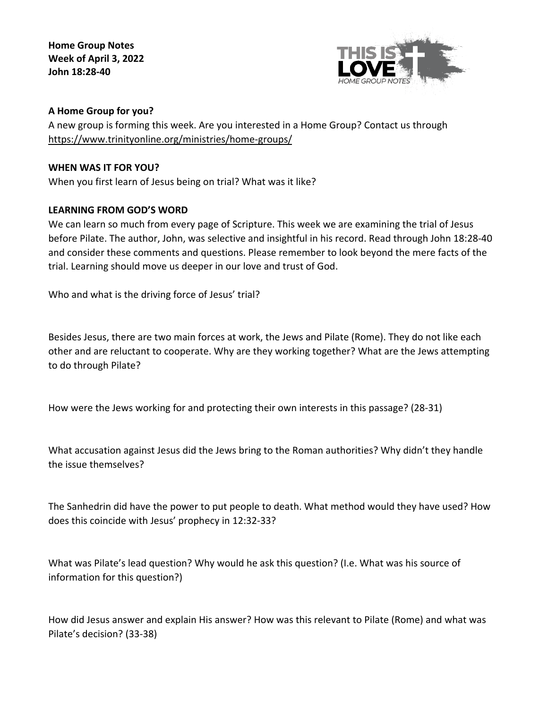**Home Group Notes Week of April 3, 2022 John 18:28-40**



# **A Home Group for you?**

A new group is forming this week. Are you interested in a Home Group? Contact us through <https://www.trinityonline.org/ministries/home-groups/>

### **WHEN WAS IT FOR YOU?**

When you first learn of Jesus being on trial? What was it like?

# **LEARNING FROM GOD'S WORD**

We can learn so much from every page of Scripture. This week we are examining the trial of Jesus before Pilate. The author, John, was selective and insightful in his record. Read through John 18:28-40 and consider these comments and questions. Please remember to look beyond the mere facts of the trial. Learning should move us deeper in our love and trust of God.

Who and what is the driving force of Jesus' trial?

Besides Jesus, there are two main forces at work, the Jews and Pilate (Rome). They do not like each other and are reluctant to cooperate. Why are they working together? What are the Jews attempting to do through Pilate?

How were the Jews working for and protecting their own interests in this passage? (28-31)

What accusation against Jesus did the Jews bring to the Roman authorities? Why didn't they handle the issue themselves?

The Sanhedrin did have the power to put people to death. What method would they have used? How does this coincide with Jesus' prophecy in 12:32-33?

What was Pilate's lead question? Why would he ask this question? (I.e. What was his source of information for this question?)

How did Jesus answer and explain His answer? How was this relevant to Pilate (Rome) and what was Pilate's decision? (33-38)